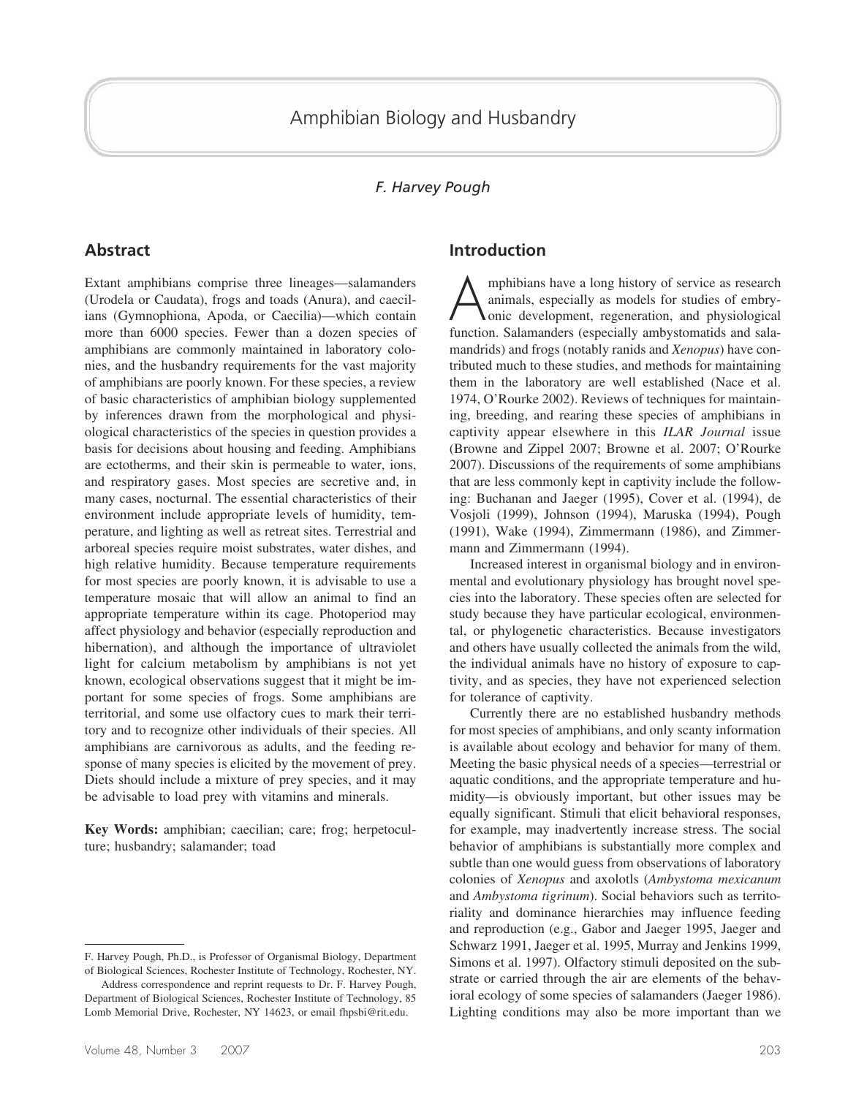# *F. Harvey Pough*

## **Abstract**

Extant amphibians comprise three lineages—salamanders (Urodela or Caudata), frogs and toads (Anura), and caecilians (Gymnophiona, Apoda, or Caecilia)—which contain more than 6000 species. Fewer than a dozen species of amphibians are commonly maintained in laboratory colonies, and the husbandry requirements for the vast majority of amphibians are poorly known. For these species, a review of basic characteristics of amphibian biology supplemented by inferences drawn from the morphological and physiological characteristics of the species in question provides a basis for decisions about housing and feeding. Amphibians are ectotherms, and their skin is permeable to water, ions, and respiratory gases. Most species are secretive and, in many cases, nocturnal. The essential characteristics of their environment include appropriate levels of humidity, temperature, and lighting as well as retreat sites. Terrestrial and arboreal species require moist substrates, water dishes, and high relative humidity. Because temperature requirements for most species are poorly known, it is advisable to use a temperature mosaic that will allow an animal to find an appropriate temperature within its cage. Photoperiod may affect physiology and behavior (especially reproduction and hibernation), and although the importance of ultraviolet light for calcium metabolism by amphibians is not yet known, ecological observations suggest that it might be important for some species of frogs. Some amphibians are territorial, and some use olfactory cues to mark their territory and to recognize other individuals of their species. All amphibians are carnivorous as adults, and the feeding response of many species is elicited by the movement of prey. Diets should include a mixture of prey species, and it may be advisable to load prey with vitamins and minerals.

**Key Words:** amphibian; caecilian; care; frog; herpetoculture; husbandry; salamander; toad

# **Introduction**

Amphibians have a long history of service as research<br>animals, especially as models for studies of embry-<br>onic development, regeneration, and physiological<br>function Salamanders (especially ambustomatids and salaanimals, especially as models for studies of embryfunction. Salamanders (especially ambystomatids and salamandrids) and frogs (notably ranids and *Xenopus*) have contributed much to these studies, and methods for maintaining them in the laboratory are well established (Nace et al. 1974, O'Rourke 2002). Reviews of techniques for maintaining, breeding, and rearing these species of amphibians in captivity appear elsewhere in this *ILAR Journal* issue (Browne and Zippel 2007; Browne et al. 2007; O'Rourke 2007). Discussions of the requirements of some amphibians that are less commonly kept in captivity include the following: Buchanan and Jaeger (1995), Cover et al. (1994), de Vosjoli (1999), Johnson (1994), Maruska (1994), Pough (1991), Wake (1994), Zimmermann (1986), and Zimmermann and Zimmermann (1994).

Increased interest in organismal biology and in environmental and evolutionary physiology has brought novel species into the laboratory. These species often are selected for study because they have particular ecological, environmental, or phylogenetic characteristics. Because investigators and others have usually collected the animals from the wild, the individual animals have no history of exposure to captivity, and as species, they have not experienced selection for tolerance of captivity.

Currently there are no established husbandry methods for most species of amphibians, and only scanty information is available about ecology and behavior for many of them. Meeting the basic physical needs of a species—terrestrial or aquatic conditions, and the appropriate temperature and humidity—is obviously important, but other issues may be equally significant. Stimuli that elicit behavioral responses, for example, may inadvertently increase stress. The social behavior of amphibians is substantially more complex and subtle than one would guess from observations of laboratory colonies of *Xenopus* and axolotls (*Ambystoma mexicanum* and *Ambystoma tigrinum*). Social behaviors such as territoriality and dominance hierarchies may influence feeding and reproduction (e.g., Gabor and Jaeger 1995, Jaeger and Schwarz 1991, Jaeger et al. 1995, Murray and Jenkins 1999, Simons et al. 1997). Olfactory stimuli deposited on the substrate or carried through the air are elements of the behavioral ecology of some species of salamanders (Jaeger 1986). Lighting conditions may also be more important than we

F. Harvey Pough, Ph.D., is Professor of Organismal Biology, Department of Biological Sciences, Rochester Institute of Technology, Rochester, NY.

Address correspondence and reprint requests to Dr. F. Harvey Pough, Department of Biological Sciences, Rochester Institute of Technology, 85 Lomb Memorial Drive, Rochester, NY 14623, or email fhpsbi@rit.edu.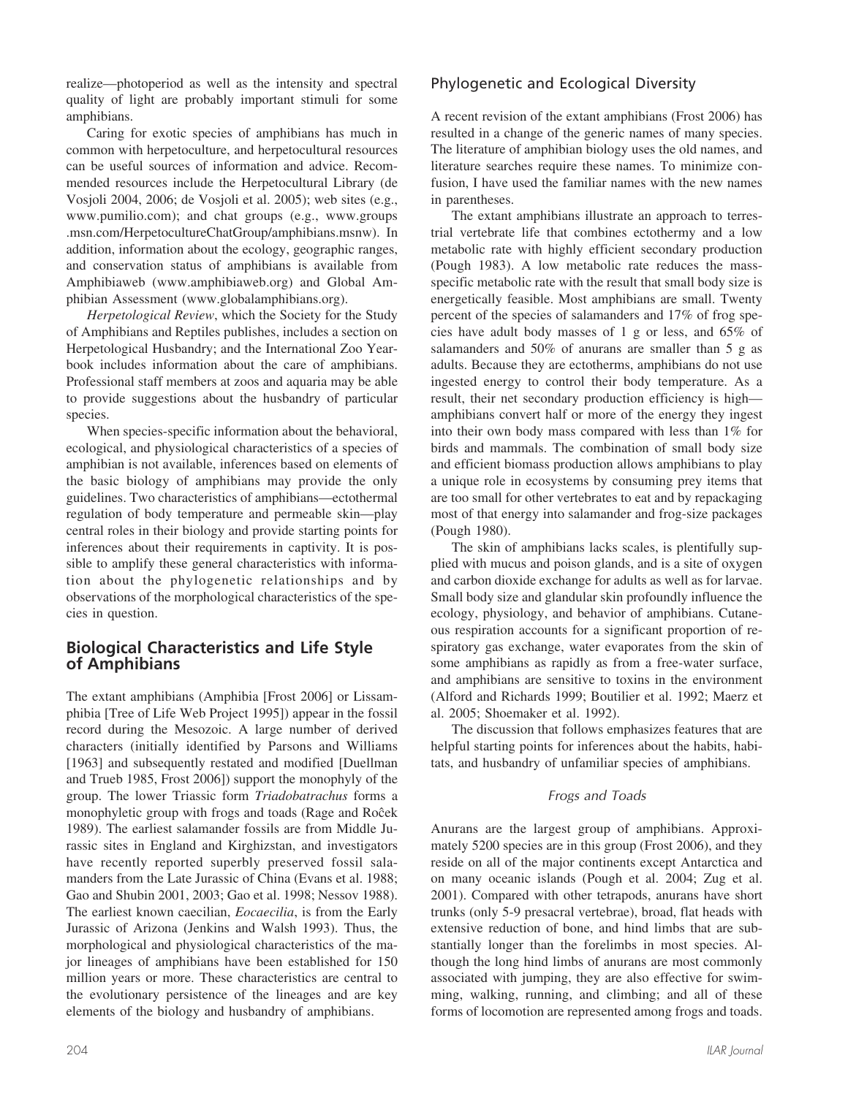realize—photoperiod as well as the intensity and spectral quality of light are probably important stimuli for some amphibians.

Caring for exotic species of amphibians has much in common with herpetoculture, and herpetocultural resources can be useful sources of information and advice. Recommended resources include the Herpetocultural Library (de Vosjoli 2004, 2006; de Vosjoli et al. 2005); web sites (e.g., www.pumilio.com); and chat groups (e.g., www.groups .msn.com/HerpetocultureChatGroup/amphibians.msnw). In addition, information about the ecology, geographic ranges, and conservation status of amphibians is available from Amphibiaweb (www.amphibiaweb.org) and Global Amphibian Assessment (www.globalamphibians.org).

*Herpetological Review*, which the Society for the Study of Amphibians and Reptiles publishes, includes a section on Herpetological Husbandry; and the International Zoo Yearbook includes information about the care of amphibians. Professional staff members at zoos and aquaria may be able to provide suggestions about the husbandry of particular species.

When species-specific information about the behavioral, ecological, and physiological characteristics of a species of amphibian is not available, inferences based on elements of the basic biology of amphibians may provide the only guidelines. Two characteristics of amphibians—ectothermal regulation of body temperature and permeable skin—play central roles in their biology and provide starting points for inferences about their requirements in captivity. It is possible to amplify these general characteristics with information about the phylogenetic relationships and by observations of the morphological characteristics of the species in question.

# **Biological Characteristics and Life Style of Amphibians**

The extant amphibians (Amphibia [Frost 2006] or Lissamphibia [Tree of Life Web Project 1995]) appear in the fossil record during the Mesozoic. A large number of derived characters (initially identified by Parsons and Williams [1963] and subsequently restated and modified [Duellman and Trueb 1985, Frost 2006]) support the monophyly of the group. The lower Triassic form *Triadobatrachus* forms a monophyletic group with frogs and toads (Rage and Roĉek 1989). The earliest salamander fossils are from Middle Jurassic sites in England and Kirghizstan, and investigators have recently reported superbly preserved fossil salamanders from the Late Jurassic of China (Evans et al. 1988; Gao and Shubin 2001, 2003; Gao et al. 1998; Nessov 1988). The earliest known caecilian, *Eocaecilia*, is from the Early Jurassic of Arizona (Jenkins and Walsh 1993). Thus, the morphological and physiological characteristics of the major lineages of amphibians have been established for 150 million years or more. These characteristics are central to the evolutionary persistence of the lineages and are key elements of the biology and husbandry of amphibians.

# Phylogenetic and Ecological Diversity

A recent revision of the extant amphibians (Frost 2006) has resulted in a change of the generic names of many species. The literature of amphibian biology uses the old names, and literature searches require these names. To minimize confusion, I have used the familiar names with the new names in parentheses.

The extant amphibians illustrate an approach to terrestrial vertebrate life that combines ectothermy and a low metabolic rate with highly efficient secondary production (Pough 1983). A low metabolic rate reduces the massspecific metabolic rate with the result that small body size is energetically feasible. Most amphibians are small. Twenty percent of the species of salamanders and 17% of frog species have adult body masses of 1 g or less, and 65% of salamanders and 50% of anurans are smaller than 5 g as adults. Because they are ectotherms, amphibians do not use ingested energy to control their body temperature. As a result, their net secondary production efficiency is high amphibians convert half or more of the energy they ingest into their own body mass compared with less than 1% for birds and mammals. The combination of small body size and efficient biomass production allows amphibians to play a unique role in ecosystems by consuming prey items that are too small for other vertebrates to eat and by repackaging most of that energy into salamander and frog-size packages (Pough 1980).

The skin of amphibians lacks scales, is plentifully supplied with mucus and poison glands, and is a site of oxygen and carbon dioxide exchange for adults as well as for larvae. Small body size and glandular skin profoundly influence the ecology, physiology, and behavior of amphibians. Cutaneous respiration accounts for a significant proportion of respiratory gas exchange, water evaporates from the skin of some amphibians as rapidly as from a free-water surface, and amphibians are sensitive to toxins in the environment (Alford and Richards 1999; Boutilier et al. 1992; Maerz et al. 2005; Shoemaker et al. 1992).

The discussion that follows emphasizes features that are helpful starting points for inferences about the habits, habitats, and husbandry of unfamiliar species of amphibians.

#### *Frogs and Toads*

Anurans are the largest group of amphibians. Approximately 5200 species are in this group (Frost 2006), and they reside on all of the major continents except Antarctica and on many oceanic islands (Pough et al. 2004; Zug et al. 2001). Compared with other tetrapods, anurans have short trunks (only 5-9 presacral vertebrae), broad, flat heads with extensive reduction of bone, and hind limbs that are substantially longer than the forelimbs in most species. Although the long hind limbs of anurans are most commonly associated with jumping, they are also effective for swimming, walking, running, and climbing; and all of these forms of locomotion are represented among frogs and toads.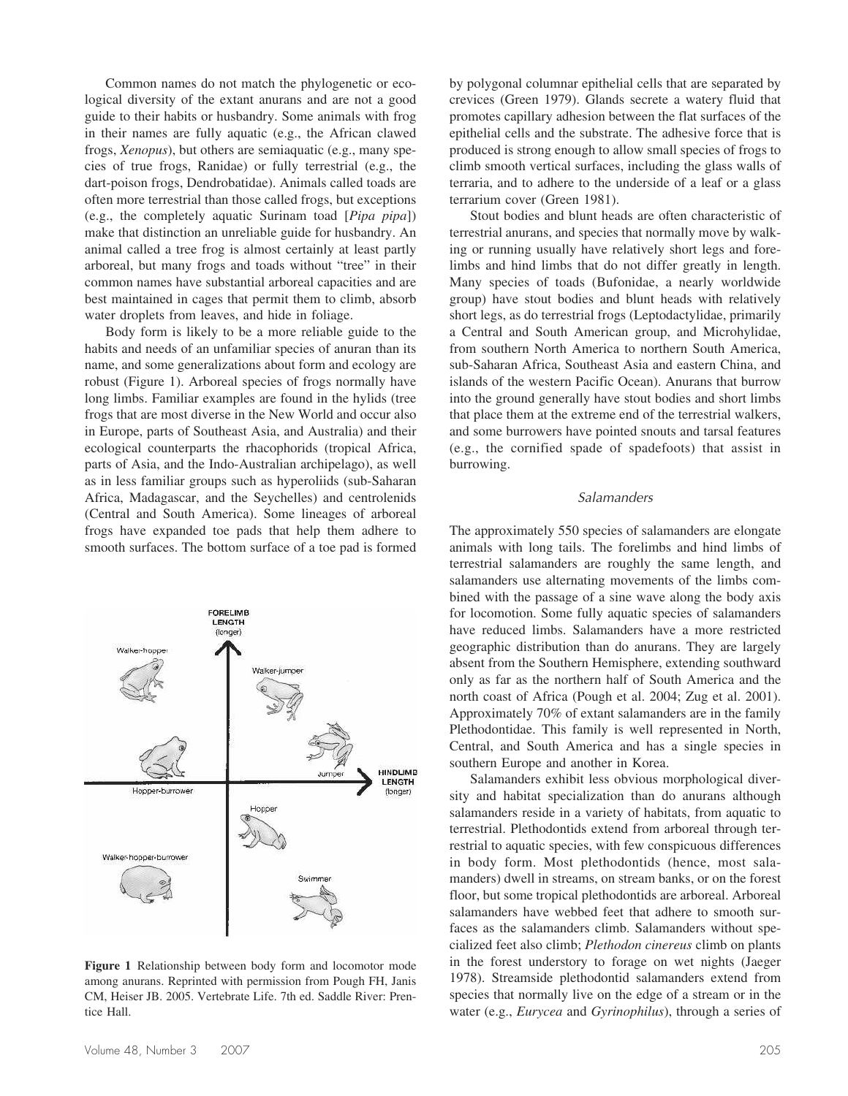Common names do not match the phylogenetic or ecological diversity of the extant anurans and are not a good guide to their habits or husbandry. Some animals with frog in their names are fully aquatic (e.g., the African clawed frogs, *Xenopus*), but others are semiaquatic (e.g., many species of true frogs, Ranidae) or fully terrestrial (e.g., the dart-poison frogs, Dendrobatidae). Animals called toads are often more terrestrial than those called frogs, but exceptions (e.g., the completely aquatic Surinam toad [*Pipa pipa*]) make that distinction an unreliable guide for husbandry. An animal called a tree frog is almost certainly at least partly arboreal, but many frogs and toads without "tree" in their common names have substantial arboreal capacities and are best maintained in cages that permit them to climb, absorb water droplets from leaves, and hide in foliage.

Body form is likely to be a more reliable guide to the habits and needs of an unfamiliar species of anuran than its name, and some generalizations about form and ecology are robust (Figure 1). Arboreal species of frogs normally have long limbs. Familiar examples are found in the hylids (tree frogs that are most diverse in the New World and occur also in Europe, parts of Southeast Asia, and Australia) and their ecological counterparts the rhacophorids (tropical Africa, parts of Asia, and the Indo-Australian archipelago), as well as in less familiar groups such as hyperoliids (sub-Saharan Africa, Madagascar, and the Seychelles) and centrolenids (Central and South America). Some lineages of arboreal frogs have expanded toe pads that help them adhere to smooth surfaces. The bottom surface of a toe pad is formed



**Figure 1** Relationship between body form and locomotor mode among anurans. Reprinted with permission from Pough FH, Janis CM, Heiser JB. 2005. Vertebrate Life. 7th ed. Saddle River: Prentice Hall.

Stout bodies and blunt heads are often characteristic of terrestrial anurans, and species that normally move by walking or running usually have relatively short legs and forelimbs and hind limbs that do not differ greatly in length. Many species of toads (Bufonidae, a nearly worldwide group) have stout bodies and blunt heads with relatively short legs, as do terrestrial frogs (Leptodactylidae, primarily a Central and South American group, and Microhylidae, from southern North America to northern South America, sub-Saharan Africa, Southeast Asia and eastern China, and islands of the western Pacific Ocean). Anurans that burrow into the ground generally have stout bodies and short limbs that place them at the extreme end of the terrestrial walkers, and some burrowers have pointed snouts and tarsal features (e.g., the cornified spade of spadefoots) that assist in burrowing.

#### *Salamanders*

The approximately 550 species of salamanders are elongate animals with long tails. The forelimbs and hind limbs of terrestrial salamanders are roughly the same length, and salamanders use alternating movements of the limbs combined with the passage of a sine wave along the body axis for locomotion. Some fully aquatic species of salamanders have reduced limbs. Salamanders have a more restricted geographic distribution than do anurans. They are largely absent from the Southern Hemisphere, extending southward only as far as the northern half of South America and the north coast of Africa (Pough et al. 2004; Zug et al. 2001). Approximately 70% of extant salamanders are in the family Plethodontidae. This family is well represented in North, Central, and South America and has a single species in southern Europe and another in Korea.

Salamanders exhibit less obvious morphological diversity and habitat specialization than do anurans although salamanders reside in a variety of habitats, from aquatic to terrestrial. Plethodontids extend from arboreal through terrestrial to aquatic species, with few conspicuous differences in body form. Most plethodontids (hence, most salamanders) dwell in streams, on stream banks, or on the forest floor, but some tropical plethodontids are arboreal. Arboreal salamanders have webbed feet that adhere to smooth surfaces as the salamanders climb. Salamanders without specialized feet also climb; *Plethodon cinereus* climb on plants in the forest understory to forage on wet nights (Jaeger 1978). Streamside plethodontid salamanders extend from species that normally live on the edge of a stream or in the water (e.g., *Eurycea* and *Gyrinophilus*), through a series of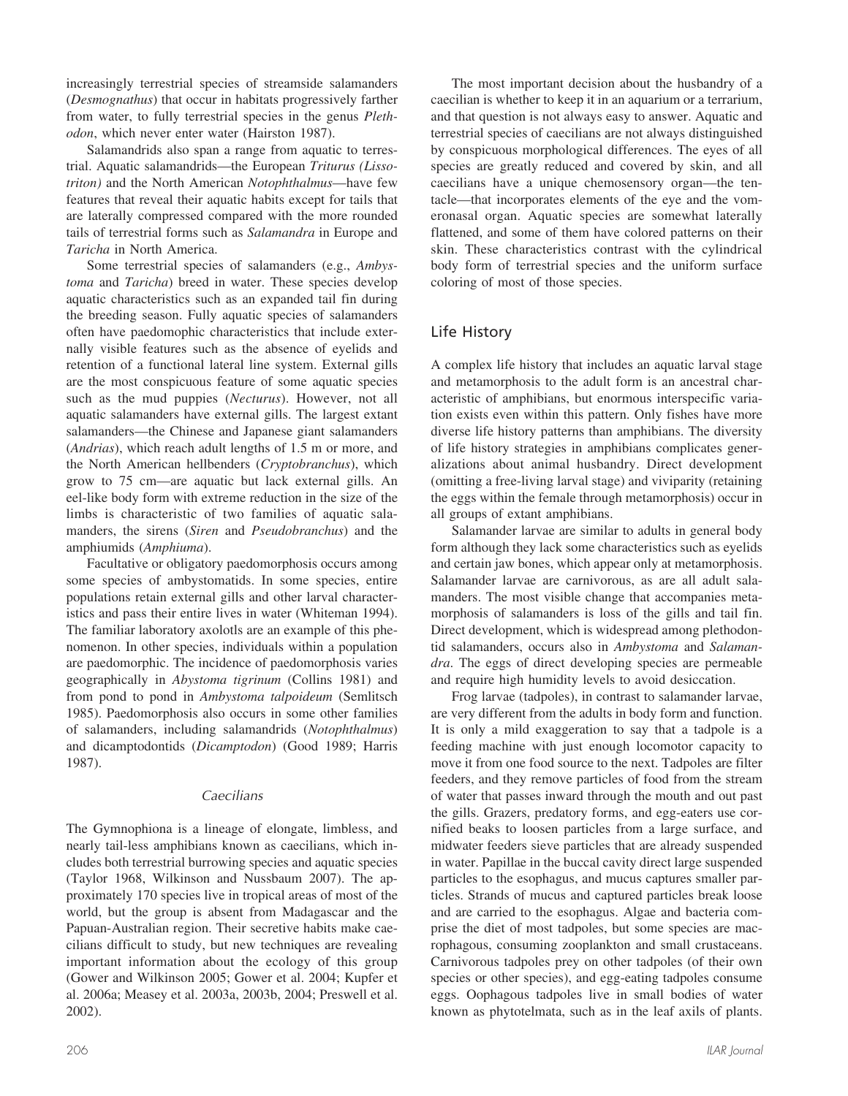increasingly terrestrial species of streamside salamanders (*Desmognathus*) that occur in habitats progressively farther from water, to fully terrestrial species in the genus *Plethodon*, which never enter water (Hairston 1987).

Salamandrids also span a range from aquatic to terrestrial. Aquatic salamandrids—the European *Triturus (Lissotriton)* and the North American *Notophthalmus*—have few features that reveal their aquatic habits except for tails that are laterally compressed compared with the more rounded tails of terrestrial forms such as *Salamandra* in Europe and *Taricha* in North America.

Some terrestrial species of salamanders (e.g., *Ambystoma* and *Taricha*) breed in water. These species develop aquatic characteristics such as an expanded tail fin during the breeding season. Fully aquatic species of salamanders often have paedomophic characteristics that include externally visible features such as the absence of eyelids and retention of a functional lateral line system. External gills are the most conspicuous feature of some aquatic species such as the mud puppies (*Necturus*). However, not all aquatic salamanders have external gills. The largest extant salamanders—the Chinese and Japanese giant salamanders (*Andrias*), which reach adult lengths of 1.5 m or more, and the North American hellbenders (*Cryptobranchus*), which grow to 75 cm—are aquatic but lack external gills. An eel-like body form with extreme reduction in the size of the limbs is characteristic of two families of aquatic salamanders, the sirens (*Siren* and *Pseudobranchus*) and the amphiumids (*Amphiuma*).

Facultative or obligatory paedomorphosis occurs among some species of ambystomatids. In some species, entire populations retain external gills and other larval characteristics and pass their entire lives in water (Whiteman 1994). The familiar laboratory axolotls are an example of this phenomenon. In other species, individuals within a population are paedomorphic. The incidence of paedomorphosis varies geographically in *Abystoma tigrinum* (Collins 1981) and from pond to pond in *Ambystoma talpoideum* (Semlitsch 1985). Paedomorphosis also occurs in some other families of salamanders, including salamandrids (*Notophthalmus*) and dicamptodontids (*Dicamptodon*) (Good 1989; Harris 1987).

#### *Caecilians*

The Gymnophiona is a lineage of elongate, limbless, and nearly tail-less amphibians known as caecilians, which includes both terrestrial burrowing species and aquatic species (Taylor 1968, Wilkinson and Nussbaum 2007). The approximately 170 species live in tropical areas of most of the world, but the group is absent from Madagascar and the Papuan-Australian region. Their secretive habits make caecilians difficult to study, but new techniques are revealing important information about the ecology of this group (Gower and Wilkinson 2005; Gower et al. 2004; Kupfer et al. 2006a; Measey et al. 2003a, 2003b, 2004; Preswell et al. 2002).

The most important decision about the husbandry of a caecilian is whether to keep it in an aquarium or a terrarium, and that question is not always easy to answer. Aquatic and terrestrial species of caecilians are not always distinguished by conspicuous morphological differences. The eyes of all species are greatly reduced and covered by skin, and all caecilians have a unique chemosensory organ—the tentacle—that incorporates elements of the eye and the vomeronasal organ. Aquatic species are somewhat laterally flattened, and some of them have colored patterns on their skin. These characteristics contrast with the cylindrical body form of terrestrial species and the uniform surface coloring of most of those species.

## Life History

A complex life history that includes an aquatic larval stage and metamorphosis to the adult form is an ancestral characteristic of amphibians, but enormous interspecific variation exists even within this pattern. Only fishes have more diverse life history patterns than amphibians. The diversity of life history strategies in amphibians complicates generalizations about animal husbandry. Direct development (omitting a free-living larval stage) and viviparity (retaining the eggs within the female through metamorphosis) occur in all groups of extant amphibians.

Salamander larvae are similar to adults in general body form although they lack some characteristics such as eyelids and certain jaw bones, which appear only at metamorphosis. Salamander larvae are carnivorous, as are all adult salamanders. The most visible change that accompanies metamorphosis of salamanders is loss of the gills and tail fin. Direct development, which is widespread among plethodontid salamanders, occurs also in *Ambystoma* and *Salamandra*. The eggs of direct developing species are permeable and require high humidity levels to avoid desiccation.

Frog larvae (tadpoles), in contrast to salamander larvae, are very different from the adults in body form and function. It is only a mild exaggeration to say that a tadpole is a feeding machine with just enough locomotor capacity to move it from one food source to the next. Tadpoles are filter feeders, and they remove particles of food from the stream of water that passes inward through the mouth and out past the gills. Grazers, predatory forms, and egg-eaters use cornified beaks to loosen particles from a large surface, and midwater feeders sieve particles that are already suspended in water. Papillae in the buccal cavity direct large suspended particles to the esophagus, and mucus captures smaller particles. Strands of mucus and captured particles break loose and are carried to the esophagus. Algae and bacteria comprise the diet of most tadpoles, but some species are macrophagous, consuming zooplankton and small crustaceans. Carnivorous tadpoles prey on other tadpoles (of their own species or other species), and egg-eating tadpoles consume eggs. Oophagous tadpoles live in small bodies of water known as phytotelmata, such as in the leaf axils of plants.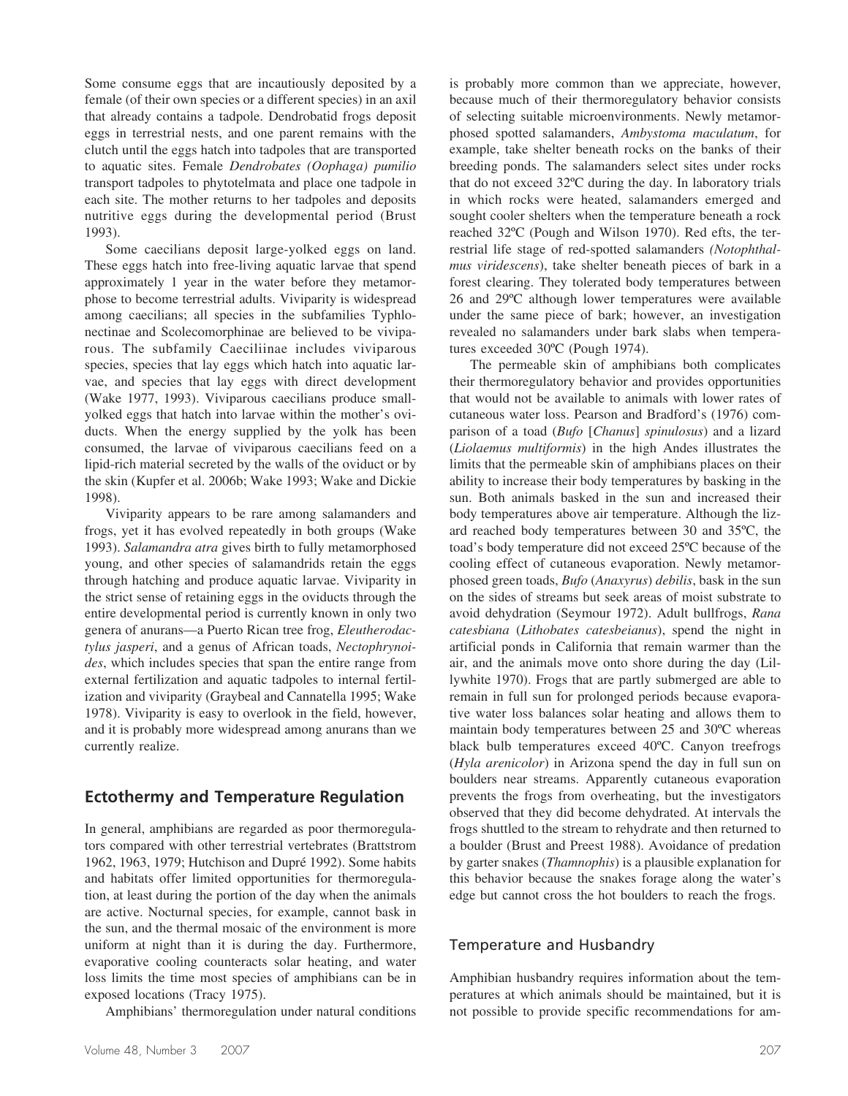Some consume eggs that are incautiously deposited by a female (of their own species or a different species) in an axil that already contains a tadpole. Dendrobatid frogs deposit eggs in terrestrial nests, and one parent remains with the clutch until the eggs hatch into tadpoles that are transported to aquatic sites. Female *Dendrobates (Oophaga) pumilio* transport tadpoles to phytotelmata and place one tadpole in each site. The mother returns to her tadpoles and deposits nutritive eggs during the developmental period (Brust 1993).

Some caecilians deposit large-yolked eggs on land. These eggs hatch into free-living aquatic larvae that spend approximately 1 year in the water before they metamorphose to become terrestrial adults. Viviparity is widespread among caecilians; all species in the subfamilies Typhlonectinae and Scolecomorphinae are believed to be viviparous. The subfamily Caeciliinae includes viviparous species, species that lay eggs which hatch into aquatic larvae, and species that lay eggs with direct development (Wake 1977, 1993). Viviparous caecilians produce smallyolked eggs that hatch into larvae within the mother's oviducts. When the energy supplied by the yolk has been consumed, the larvae of viviparous caecilians feed on a lipid-rich material secreted by the walls of the oviduct or by the skin (Kupfer et al. 2006b; Wake 1993; Wake and Dickie 1998).

Viviparity appears to be rare among salamanders and frogs, yet it has evolved repeatedly in both groups (Wake 1993). *Salamandra atra* gives birth to fully metamorphosed young, and other species of salamandrids retain the eggs through hatching and produce aquatic larvae. Viviparity in the strict sense of retaining eggs in the oviducts through the entire developmental period is currently known in only two genera of anurans—a Puerto Rican tree frog, *Eleutherodactylus jasperi*, and a genus of African toads, *Nectophrynoides*, which includes species that span the entire range from external fertilization and aquatic tadpoles to internal fertilization and viviparity (Graybeal and Cannatella 1995; Wake 1978). Viviparity is easy to overlook in the field, however, and it is probably more widespread among anurans than we currently realize.

# **Ectothermy and Temperature Regulation**

In general, amphibians are regarded as poor thermoregulators compared with other terrestrial vertebrates (Brattstrom 1962, 1963, 1979; Hutchison and Dupré 1992). Some habits and habitats offer limited opportunities for thermoregulation, at least during the portion of the day when the animals are active. Nocturnal species, for example, cannot bask in the sun, and the thermal mosaic of the environment is more uniform at night than it is during the day. Furthermore, evaporative cooling counteracts solar heating, and water loss limits the time most species of amphibians can be in exposed locations (Tracy 1975).

Amphibians' thermoregulation under natural conditions

is probably more common than we appreciate, however, because much of their thermoregulatory behavior consists of selecting suitable microenvironments. Newly metamorphosed spotted salamanders, *Ambystoma maculatum*, for example, take shelter beneath rocks on the banks of their breeding ponds. The salamanders select sites under rocks that do not exceed 32ºC during the day. In laboratory trials in which rocks were heated, salamanders emerged and sought cooler shelters when the temperature beneath a rock reached 32ºC (Pough and Wilson 1970). Red efts, the terrestrial life stage of red-spotted salamanders *(Notophthalmus viridescens*), take shelter beneath pieces of bark in a forest clearing. They tolerated body temperatures between 26 and 29ºC although lower temperatures were available under the same piece of bark; however, an investigation revealed no salamanders under bark slabs when temperatures exceeded 30ºC (Pough 1974).

The permeable skin of amphibians both complicates their thermoregulatory behavior and provides opportunities that would not be available to animals with lower rates of cutaneous water loss. Pearson and Bradford's (1976) comparison of a toad (*Bufo* [*Chanus*] *spinulosus*) and a lizard (*Liolaemus multiformis*) in the high Andes illustrates the limits that the permeable skin of amphibians places on their ability to increase their body temperatures by basking in the sun. Both animals basked in the sun and increased their body temperatures above air temperature. Although the lizard reached body temperatures between 30 and 35ºC, the toad's body temperature did not exceed 25ºC because of the cooling effect of cutaneous evaporation. Newly metamorphosed green toads, *Bufo* (*Anaxyrus*) *debilis*, bask in the sun on the sides of streams but seek areas of moist substrate to avoid dehydration (Seymour 1972). Adult bullfrogs, *Rana catesbiana* (*Lithobates catesbeianus*), spend the night in artificial ponds in California that remain warmer than the air, and the animals move onto shore during the day (Lillywhite 1970). Frogs that are partly submerged are able to remain in full sun for prolonged periods because evaporative water loss balances solar heating and allows them to maintain body temperatures between 25 and 30ºC whereas black bulb temperatures exceed 40ºC. Canyon treefrogs (*Hyla arenicolor*) in Arizona spend the day in full sun on boulders near streams. Apparently cutaneous evaporation prevents the frogs from overheating, but the investigators observed that they did become dehydrated. At intervals the frogs shuttled to the stream to rehydrate and then returned to a boulder (Brust and Preest 1988). Avoidance of predation by garter snakes (*Thamnophis*) is a plausible explanation for this behavior because the snakes forage along the water's edge but cannot cross the hot boulders to reach the frogs.

#### Temperature and Husbandry

Amphibian husbandry requires information about the temperatures at which animals should be maintained, but it is not possible to provide specific recommendations for am-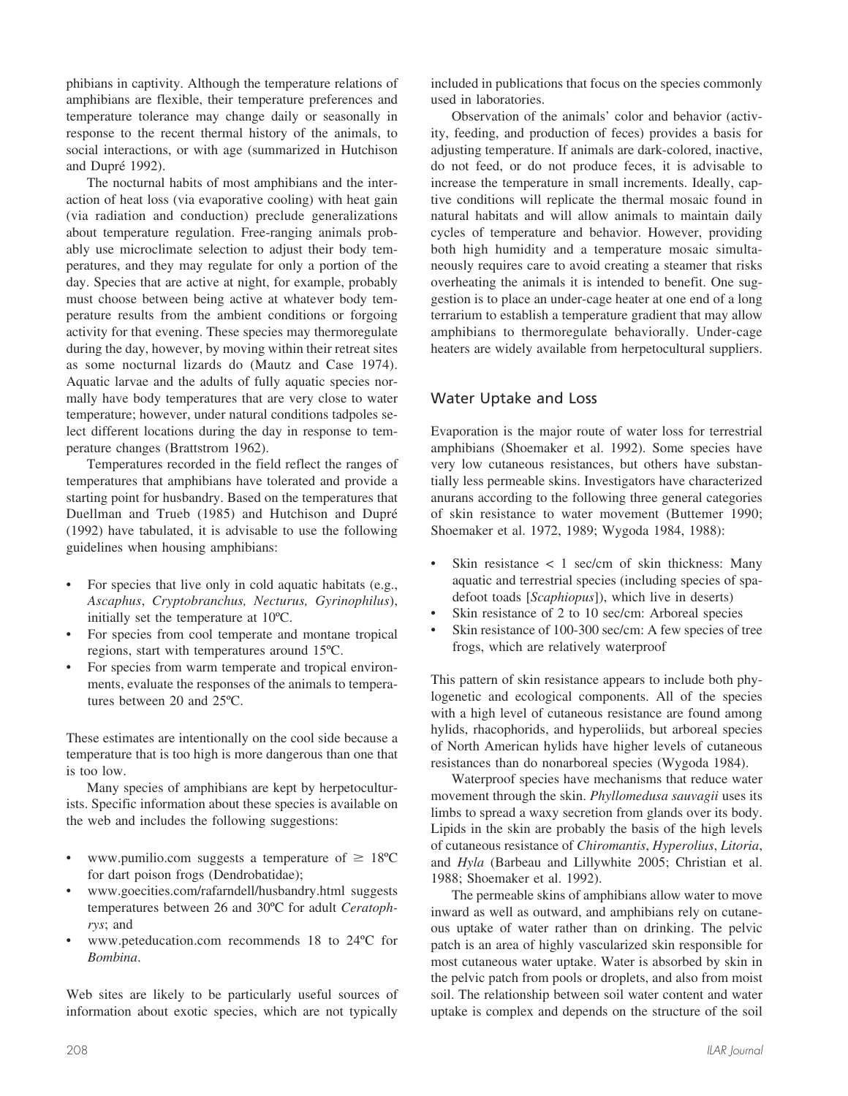phibians in captivity. Although the temperature relations of amphibians are flexible, their temperature preferences and temperature tolerance may change daily or seasonally in response to the recent thermal history of the animals, to social interactions, or with age (summarized in Hutchison and Dupré 1992).

The nocturnal habits of most amphibians and the interaction of heat loss (via evaporative cooling) with heat gain (via radiation and conduction) preclude generalizations about temperature regulation. Free-ranging animals probably use microclimate selection to adjust their body temperatures, and they may regulate for only a portion of the day. Species that are active at night, for example, probably must choose between being active at whatever body temperature results from the ambient conditions or forgoing activity for that evening. These species may thermoregulate during the day, however, by moving within their retreat sites as some nocturnal lizards do (Mautz and Case 1974). Aquatic larvae and the adults of fully aquatic species normally have body temperatures that are very close to water temperature; however, under natural conditions tadpoles select different locations during the day in response to temperature changes (Brattstrom 1962).

Temperatures recorded in the field reflect the ranges of temperatures that amphibians have tolerated and provide a starting point for husbandry. Based on the temperatures that Duellman and Trueb (1985) and Hutchison and Dupré (1992) have tabulated, it is advisable to use the following guidelines when housing amphibians:

- For species that live only in cold aquatic habitats (e.g., *Ascaphus*, *Cryptobranchus, Necturus, Gyrinophilus*), initially set the temperature at 10ºC.
- For species from cool temperate and montane tropical regions, start with temperatures around 15ºC.
- For species from warm temperate and tropical environments, evaluate the responses of the animals to temperatures between 20 and 25ºC.

These estimates are intentionally on the cool side because a temperature that is too high is more dangerous than one that is too low.

Many species of amphibians are kept by herpetoculturists. Specific information about these species is available on the web and includes the following suggestions:

- www.pumilio.com suggests a temperature of  $\geq 18^{\circ}C$ for dart poison frogs (Dendrobatidae);
- www.goecities.com/rafarndell/husbandry.html suggests temperatures between 26 and 30ºC for adult *Ceratophrys*; and
- www.peteducation.com recommends 18 to 24ºC for *Bombina*.

Web sites are likely to be particularly useful sources of information about exotic species, which are not typically

included in publications that focus on the species commonly used in laboratories.

Observation of the animals' color and behavior (activity, feeding, and production of feces) provides a basis for adjusting temperature. If animals are dark-colored, inactive, do not feed, or do not produce feces, it is advisable to increase the temperature in small increments. Ideally, captive conditions will replicate the thermal mosaic found in natural habitats and will allow animals to maintain daily cycles of temperature and behavior. However, providing both high humidity and a temperature mosaic simultaneously requires care to avoid creating a steamer that risks overheating the animals it is intended to benefit. One suggestion is to place an under-cage heater at one end of a long terrarium to establish a temperature gradient that may allow amphibians to thermoregulate behaviorally. Under-cage heaters are widely available from herpetocultural suppliers.

### Water Uptake and Loss

Evaporation is the major route of water loss for terrestrial amphibians (Shoemaker et al. 1992). Some species have very low cutaneous resistances, but others have substantially less permeable skins. Investigators have characterized anurans according to the following three general categories of skin resistance to water movement (Buttemer 1990; Shoemaker et al. 1972, 1989; Wygoda 1984, 1988):

- Skin resistance < 1 sec/cm of skin thickness: Many aquatic and terrestrial species (including species of spadefoot toads [*Scaphiopus*]), which live in deserts)
- Skin resistance of 2 to 10 sec/cm: Arboreal species
- Skin resistance of 100-300 sec/cm: A few species of tree frogs, which are relatively waterproof

This pattern of skin resistance appears to include both phylogenetic and ecological components. All of the species with a high level of cutaneous resistance are found among hylids, rhacophorids, and hyperoliids, but arboreal species of North American hylids have higher levels of cutaneous resistances than do nonarboreal species (Wygoda 1984).

Waterproof species have mechanisms that reduce water movement through the skin. *Phyllomedusa sauvagii* uses its limbs to spread a waxy secretion from glands over its body. Lipids in the skin are probably the basis of the high levels of cutaneous resistance of *Chiromantis*, *Hyperolius*, *Litoria*, and *Hyla* (Barbeau and Lillywhite 2005; Christian et al. 1988; Shoemaker et al. 1992).

The permeable skins of amphibians allow water to move inward as well as outward, and amphibians rely on cutaneous uptake of water rather than on drinking. The pelvic patch is an area of highly vascularized skin responsible for most cutaneous water uptake. Water is absorbed by skin in the pelvic patch from pools or droplets, and also from moist soil. The relationship between soil water content and water uptake is complex and depends on the structure of the soil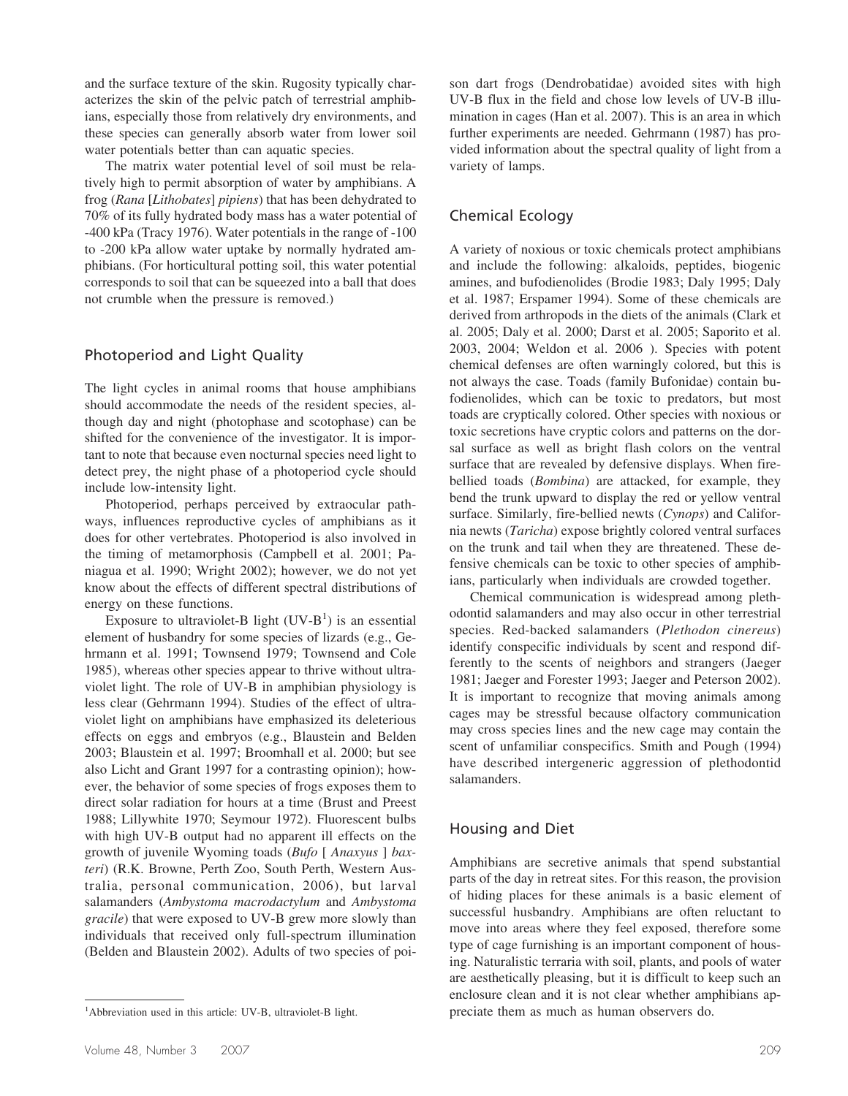and the surface texture of the skin. Rugosity typically characterizes the skin of the pelvic patch of terrestrial amphibians, especially those from relatively dry environments, and these species can generally absorb water from lower soil water potentials better than can aquatic species.

The matrix water potential level of soil must be relatively high to permit absorption of water by amphibians. A frog (*Rana* [*Lithobates*] *pipiens*) that has been dehydrated to 70% of its fully hydrated body mass has a water potential of -400 kPa (Tracy 1976). Water potentials in the range of -100 to -200 kPa allow water uptake by normally hydrated amphibians. (For horticultural potting soil, this water potential corresponds to soil that can be squeezed into a ball that does not crumble when the pressure is removed.)

### Photoperiod and Light Quality

The light cycles in animal rooms that house amphibians should accommodate the needs of the resident species, although day and night (photophase and scotophase) can be shifted for the convenience of the investigator. It is important to note that because even nocturnal species need light to detect prey, the night phase of a photoperiod cycle should include low-intensity light.

Photoperiod, perhaps perceived by extraocular pathways, influences reproductive cycles of amphibians as it does for other vertebrates. Photoperiod is also involved in the timing of metamorphosis (Campbell et al. 2001; Paniagua et al. 1990; Wright 2002); however, we do not yet know about the effects of different spectral distributions of energy on these functions.

Exposure to ultraviolet-B light  $(UV-B<sup>1</sup>)$  is an essential element of husbandry for some species of lizards (e.g., Gehrmann et al. 1991; Townsend 1979; Townsend and Cole 1985), whereas other species appear to thrive without ultraviolet light. The role of UV-B in amphibian physiology is less clear (Gehrmann 1994). Studies of the effect of ultraviolet light on amphibians have emphasized its deleterious effects on eggs and embryos (e.g., Blaustein and Belden 2003; Blaustein et al. 1997; Broomhall et al. 2000; but see also Licht and Grant 1997 for a contrasting opinion); however, the behavior of some species of frogs exposes them to direct solar radiation for hours at a time (Brust and Preest 1988; Lillywhite 1970; Seymour 1972). Fluorescent bulbs with high UV-B output had no apparent ill effects on the growth of juvenile Wyoming toads (*Bufo* [ *Anaxyus* ] *baxteri*) (R.K. Browne, Perth Zoo, South Perth, Western Australia, personal communication, 2006), but larval salamanders (*Ambystoma macrodactylum* and *Ambystoma gracile*) that were exposed to UV-B grew more slowly than individuals that received only full-spectrum illumination (Belden and Blaustein 2002). Adults of two species of poison dart frogs (Dendrobatidae) avoided sites with high UV-B flux in the field and chose low levels of UV-B illumination in cages (Han et al. 2007). This is an area in which further experiments are needed. Gehrmann (1987) has provided information about the spectral quality of light from a variety of lamps.

# Chemical Ecology

A variety of noxious or toxic chemicals protect amphibians and include the following: alkaloids, peptides, biogenic amines, and bufodienolides (Brodie 1983; Daly 1995; Daly et al. 1987; Erspamer 1994). Some of these chemicals are derived from arthropods in the diets of the animals (Clark et al. 2005; Daly et al. 2000; Darst et al. 2005; Saporito et al. 2003, 2004; Weldon et al. 2006 ). Species with potent chemical defenses are often warningly colored, but this is not always the case. Toads (family Bufonidae) contain bufodienolides, which can be toxic to predators, but most toads are cryptically colored. Other species with noxious or toxic secretions have cryptic colors and patterns on the dorsal surface as well as bright flash colors on the ventral surface that are revealed by defensive displays. When firebellied toads (*Bombina*) are attacked, for example, they bend the trunk upward to display the red or yellow ventral surface. Similarly, fire-bellied newts (*Cynops*) and California newts (*Taricha*) expose brightly colored ventral surfaces on the trunk and tail when they are threatened. These defensive chemicals can be toxic to other species of amphibians, particularly when individuals are crowded together.

Chemical communication is widespread among plethodontid salamanders and may also occur in other terrestrial species. Red-backed salamanders (*Plethodon cinereus*) identify conspecific individuals by scent and respond differently to the scents of neighbors and strangers (Jaeger 1981; Jaeger and Forester 1993; Jaeger and Peterson 2002). It is important to recognize that moving animals among cages may be stressful because olfactory communication may cross species lines and the new cage may contain the scent of unfamiliar conspecifics. Smith and Pough (1994) have described intergeneric aggression of plethodontid salamanders.

#### Housing and Diet

Amphibians are secretive animals that spend substantial parts of the day in retreat sites. For this reason, the provision of hiding places for these animals is a basic element of successful husbandry. Amphibians are often reluctant to move into areas where they feel exposed, therefore some type of cage furnishing is an important component of housing. Naturalistic terraria with soil, plants, and pools of water are aesthetically pleasing, but it is difficult to keep such an enclosure clean and it is not clear whether amphibians appreciate them as much as human observers do.

<sup>&</sup>lt;sup>1</sup>Abbreviation used in this article: UV-B, ultraviolet-B light.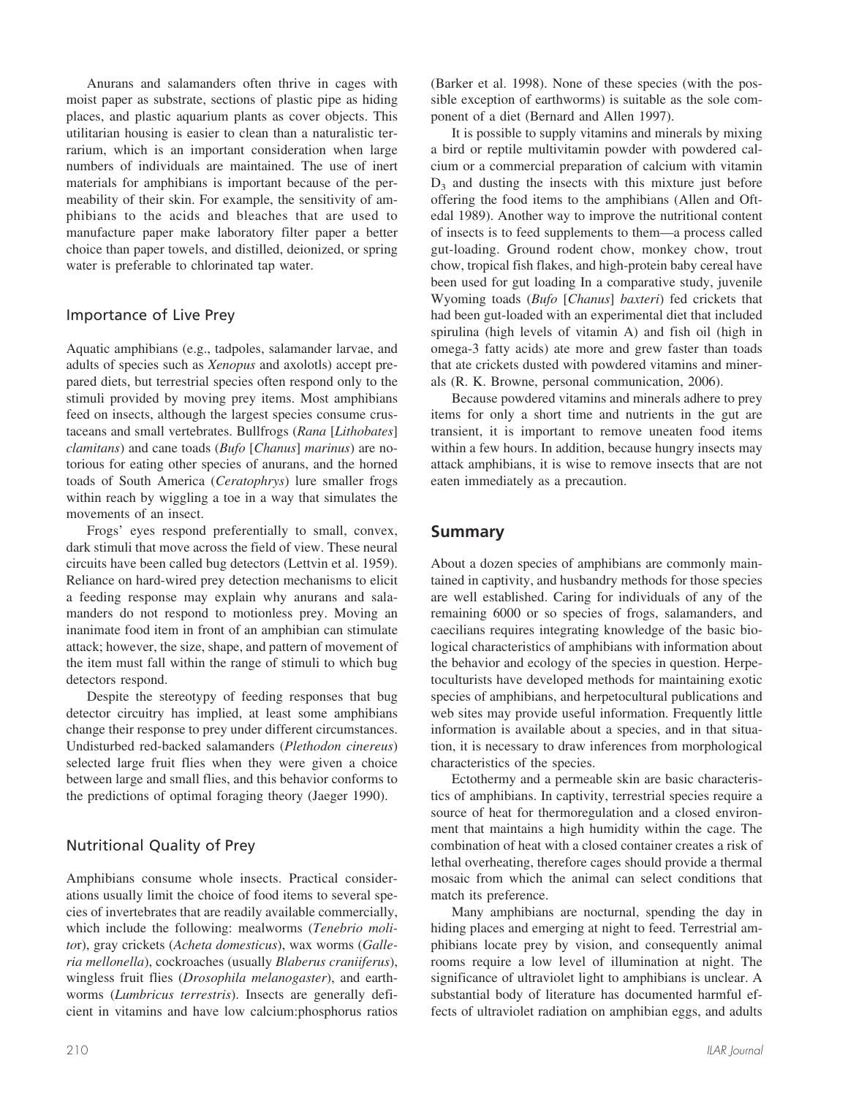Anurans and salamanders often thrive in cages with moist paper as substrate, sections of plastic pipe as hiding places, and plastic aquarium plants as cover objects. This utilitarian housing is easier to clean than a naturalistic terrarium, which is an important consideration when large numbers of individuals are maintained. The use of inert materials for amphibians is important because of the permeability of their skin. For example, the sensitivity of amphibians to the acids and bleaches that are used to manufacture paper make laboratory filter paper a better choice than paper towels, and distilled, deionized, or spring water is preferable to chlorinated tap water.

### Importance of Live Prey

Aquatic amphibians (e.g., tadpoles, salamander larvae, and adults of species such as *Xenopus* and axolotls) accept prepared diets, but terrestrial species often respond only to the stimuli provided by moving prey items. Most amphibians feed on insects, although the largest species consume crustaceans and small vertebrates. Bullfrogs (*Rana* [*Lithobates*] *clamitans*) and cane toads (*Bufo* [*Chanus*] *marinus*) are notorious for eating other species of anurans, and the horned toads of South America (*Ceratophrys*) lure smaller frogs within reach by wiggling a toe in a way that simulates the movements of an insect.

Frogs' eyes respond preferentially to small, convex, dark stimuli that move across the field of view. These neural circuits have been called bug detectors (Lettvin et al. 1959). Reliance on hard-wired prey detection mechanisms to elicit a feeding response may explain why anurans and salamanders do not respond to motionless prey. Moving an inanimate food item in front of an amphibian can stimulate attack; however, the size, shape, and pattern of movement of the item must fall within the range of stimuli to which bug detectors respond.

Despite the stereotypy of feeding responses that bug detector circuitry has implied, at least some amphibians change their response to prey under different circumstances. Undisturbed red-backed salamanders (*Plethodon cinereus*) selected large fruit flies when they were given a choice between large and small flies, and this behavior conforms to the predictions of optimal foraging theory (Jaeger 1990).

### Nutritional Quality of Prey

Amphibians consume whole insects. Practical considerations usually limit the choice of food items to several species of invertebrates that are readily available commercially, which include the following: mealworms (*Tenebrio molito*r), gray crickets (*Acheta domesticus*), wax worms (*Galleria mellonella*), cockroaches (usually *Blaberus craniiferus*), wingless fruit flies (*Drosophila melanogaster*), and earthworms (*Lumbricus terrestris*). Insects are generally deficient in vitamins and have low calcium:phosphorus ratios (Barker et al. 1998). None of these species (with the possible exception of earthworms) is suitable as the sole component of a diet (Bernard and Allen 1997).

It is possible to supply vitamins and minerals by mixing a bird or reptile multivitamin powder with powdered calcium or a commercial preparation of calcium with vitamin  $D_3$  and dusting the insects with this mixture just before offering the food items to the amphibians (Allen and Oftedal 1989). Another way to improve the nutritional content of insects is to feed supplements to them—a process called gut-loading. Ground rodent chow, monkey chow, trout chow, tropical fish flakes, and high-protein baby cereal have been used for gut loading In a comparative study, juvenile Wyoming toads (*Bufo* [*Chanus*] *baxteri*) fed crickets that had been gut-loaded with an experimental diet that included spirulina (high levels of vitamin A) and fish oil (high in omega-3 fatty acids) ate more and grew faster than toads that ate crickets dusted with powdered vitamins and minerals (R. K. Browne, personal communication, 2006).

Because powdered vitamins and minerals adhere to prey items for only a short time and nutrients in the gut are transient, it is important to remove uneaten food items within a few hours. In addition, because hungry insects may attack amphibians, it is wise to remove insects that are not eaten immediately as a precaution.

## **Summary**

About a dozen species of amphibians are commonly maintained in captivity, and husbandry methods for those species are well established. Caring for individuals of any of the remaining 6000 or so species of frogs, salamanders, and caecilians requires integrating knowledge of the basic biological characteristics of amphibians with information about the behavior and ecology of the species in question. Herpetoculturists have developed methods for maintaining exotic species of amphibians, and herpetocultural publications and web sites may provide useful information. Frequently little information is available about a species, and in that situation, it is necessary to draw inferences from morphological characteristics of the species.

Ectothermy and a permeable skin are basic characteristics of amphibians. In captivity, terrestrial species require a source of heat for thermoregulation and a closed environment that maintains a high humidity within the cage. The combination of heat with a closed container creates a risk of lethal overheating, therefore cages should provide a thermal mosaic from which the animal can select conditions that match its preference.

Many amphibians are nocturnal, spending the day in hiding places and emerging at night to feed. Terrestrial amphibians locate prey by vision, and consequently animal rooms require a low level of illumination at night. The significance of ultraviolet light to amphibians is unclear. A substantial body of literature has documented harmful effects of ultraviolet radiation on amphibian eggs, and adults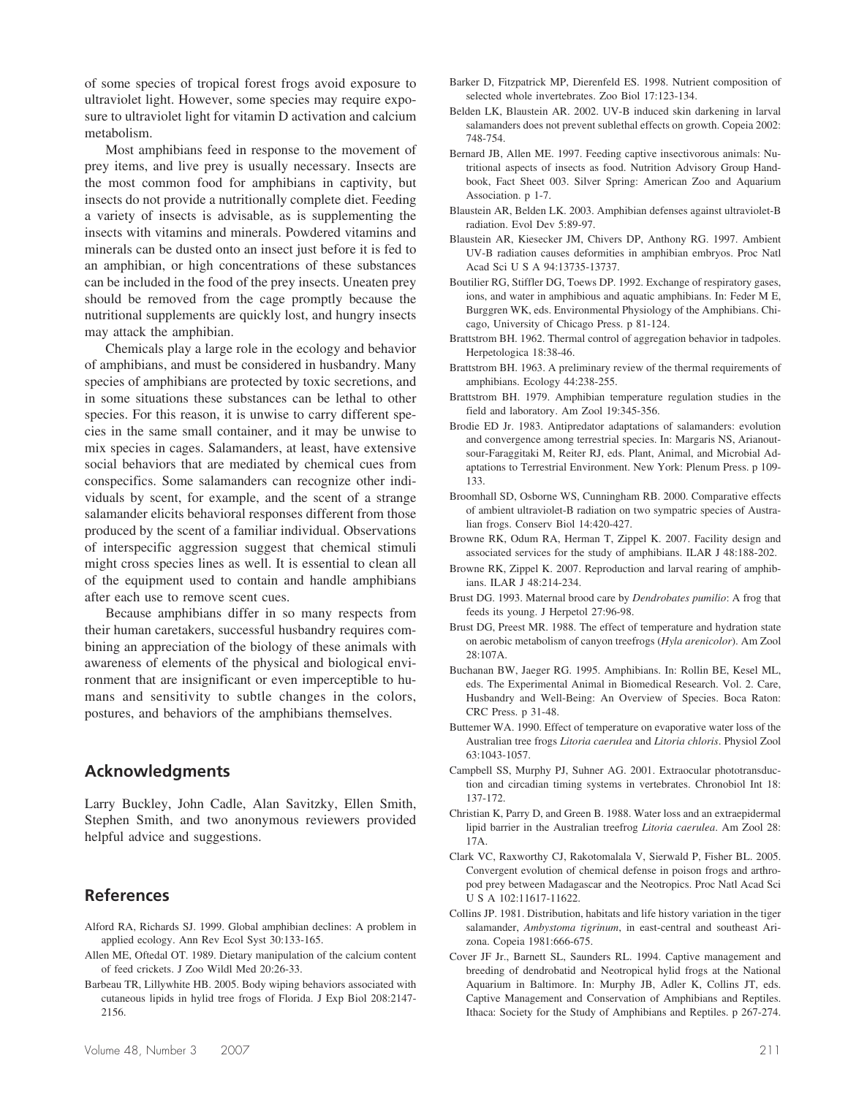of some species of tropical forest frogs avoid exposure to ultraviolet light. However, some species may require exposure to ultraviolet light for vitamin D activation and calcium metabolism.

Most amphibians feed in response to the movement of prey items, and live prey is usually necessary. Insects are the most common food for amphibians in captivity, but insects do not provide a nutritionally complete diet. Feeding a variety of insects is advisable, as is supplementing the insects with vitamins and minerals. Powdered vitamins and minerals can be dusted onto an insect just before it is fed to an amphibian, or high concentrations of these substances can be included in the food of the prey insects. Uneaten prey should be removed from the cage promptly because the nutritional supplements are quickly lost, and hungry insects may attack the amphibian.

Chemicals play a large role in the ecology and behavior of amphibians, and must be considered in husbandry. Many species of amphibians are protected by toxic secretions, and in some situations these substances can be lethal to other species. For this reason, it is unwise to carry different species in the same small container, and it may be unwise to mix species in cages. Salamanders, at least, have extensive social behaviors that are mediated by chemical cues from conspecifics. Some salamanders can recognize other individuals by scent, for example, and the scent of a strange salamander elicits behavioral responses different from those produced by the scent of a familiar individual. Observations of interspecific aggression suggest that chemical stimuli might cross species lines as well. It is essential to clean all of the equipment used to contain and handle amphibians after each use to remove scent cues.

Because amphibians differ in so many respects from their human caretakers, successful husbandry requires combining an appreciation of the biology of these animals with awareness of elements of the physical and biological environment that are insignificant or even imperceptible to humans and sensitivity to subtle changes in the colors, postures, and behaviors of the amphibians themselves.

## **Acknowledgments**

Larry Buckley, John Cadle, Alan Savitzky, Ellen Smith, Stephen Smith, and two anonymous reviewers provided helpful advice and suggestions.

### **References**

- Alford RA, Richards SJ. 1999. Global amphibian declines: A problem in applied ecology. Ann Rev Ecol Syst 30:133-165.
- Allen ME, Oftedal OT. 1989. Dietary manipulation of the calcium content of feed crickets. J Zoo Wildl Med 20:26-33.
- Barbeau TR, Lillywhite HB. 2005. Body wiping behaviors associated with cutaneous lipids in hylid tree frogs of Florida. J Exp Biol 208:2147- 2156.
- Barker D, Fitzpatrick MP, Dierenfeld ES. 1998. Nutrient composition of selected whole invertebrates. Zoo Biol 17:123-134.
- Belden LK, Blaustein AR. 2002. UV-B induced skin darkening in larval salamanders does not prevent sublethal effects on growth. Copeia 2002: 748-754.
- Bernard JB, Allen ME. 1997. Feeding captive insectivorous animals: Nutritional aspects of insects as food. Nutrition Advisory Group Handbook, Fact Sheet 003. Silver Spring: American Zoo and Aquarium Association. p 1-7.
- Blaustein AR, Belden LK. 2003. Amphibian defenses against ultraviolet-B radiation. Evol Dev 5:89-97.
- Blaustein AR, Kiesecker JM, Chivers DP, Anthony RG. 1997. Ambient UV-B radiation causes deformities in amphibian embryos. Proc Natl Acad Sci U S A 94:13735-13737.
- Boutilier RG, Stiffler DG, Toews DP. 1992. Exchange of respiratory gases, ions, and water in amphibious and aquatic amphibians. In: Feder M E, Burggren WK, eds. Environmental Physiology of the Amphibians. Chicago, University of Chicago Press. p 81-124.
- Brattstrom BH. 1962. Thermal control of aggregation behavior in tadpoles. Herpetologica 18:38-46.
- Brattstrom BH. 1963. A preliminary review of the thermal requirements of amphibians. Ecology 44:238-255.
- Brattstrom BH. 1979. Amphibian temperature regulation studies in the field and laboratory. Am Zool 19:345-356.
- Brodie ED Jr. 1983. Antipredator adaptations of salamanders: evolution and convergence among terrestrial species. In: Margaris NS, Arianoutsour-Faraggitaki M, Reiter RJ, eds. Plant, Animal, and Microbial Adaptations to Terrestrial Environment. New York: Plenum Press. p 109- 133.
- Broomhall SD, Osborne WS, Cunningham RB. 2000. Comparative effects of ambient ultraviolet-B radiation on two sympatric species of Australian frogs. Conserv Biol 14:420-427.
- Browne RK, Odum RA, Herman T, Zippel K. 2007. Facility design and associated services for the study of amphibians. ILAR J 48:188-202.
- Browne RK, Zippel K. 2007. Reproduction and larval rearing of amphibians. ILAR J 48:214-234.
- Brust DG. 1993. Maternal brood care by *Dendrobates pumilio*: A frog that feeds its young. J Herpetol 27:96-98.
- Brust DG, Preest MR. 1988. The effect of temperature and hydration state on aerobic metabolism of canyon treefrogs (*Hyla arenicolor*). Am Zool 28:107A.
- Buchanan BW, Jaeger RG. 1995. Amphibians. In: Rollin BE, Kesel ML, eds. The Experimental Animal in Biomedical Research. Vol. 2. Care, Husbandry and Well-Being: An Overview of Species. Boca Raton: CRC Press. p 31-48.
- Buttemer WA. 1990. Effect of temperature on evaporative water loss of the Australian tree frogs *Litoria caerulea* and *Litoria chloris*. Physiol Zool 63:1043-1057.
- Campbell SS, Murphy PJ, Suhner AG. 2001. Extraocular phototransduction and circadian timing systems in vertebrates. Chronobiol Int 18: 137-172.
- Christian K, Parry D, and Green B. 1988. Water loss and an extraepidermal lipid barrier in the Australian treefrog *Litoria caerulea*. Am Zool 28: 17A.
- Clark VC, Raxworthy CJ, Rakotomalala V, Sierwald P, Fisher BL. 2005. Convergent evolution of chemical defense in poison frogs and arthropod prey between Madagascar and the Neotropics. Proc Natl Acad Sci U S A 102:11617-11622.
- Collins JP. 1981. Distribution, habitats and life history variation in the tiger salamander, *Ambystoma tigrinum*, in east-central and southeast Arizona. Copeia 1981:666-675.
- Cover JF Jr., Barnett SL, Saunders RL. 1994. Captive management and breeding of dendrobatid and Neotropical hylid frogs at the National Aquarium in Baltimore. In: Murphy JB, Adler K, Collins JT, eds. Captive Management and Conservation of Amphibians and Reptiles. Ithaca: Society for the Study of Amphibians and Reptiles. p 267-274.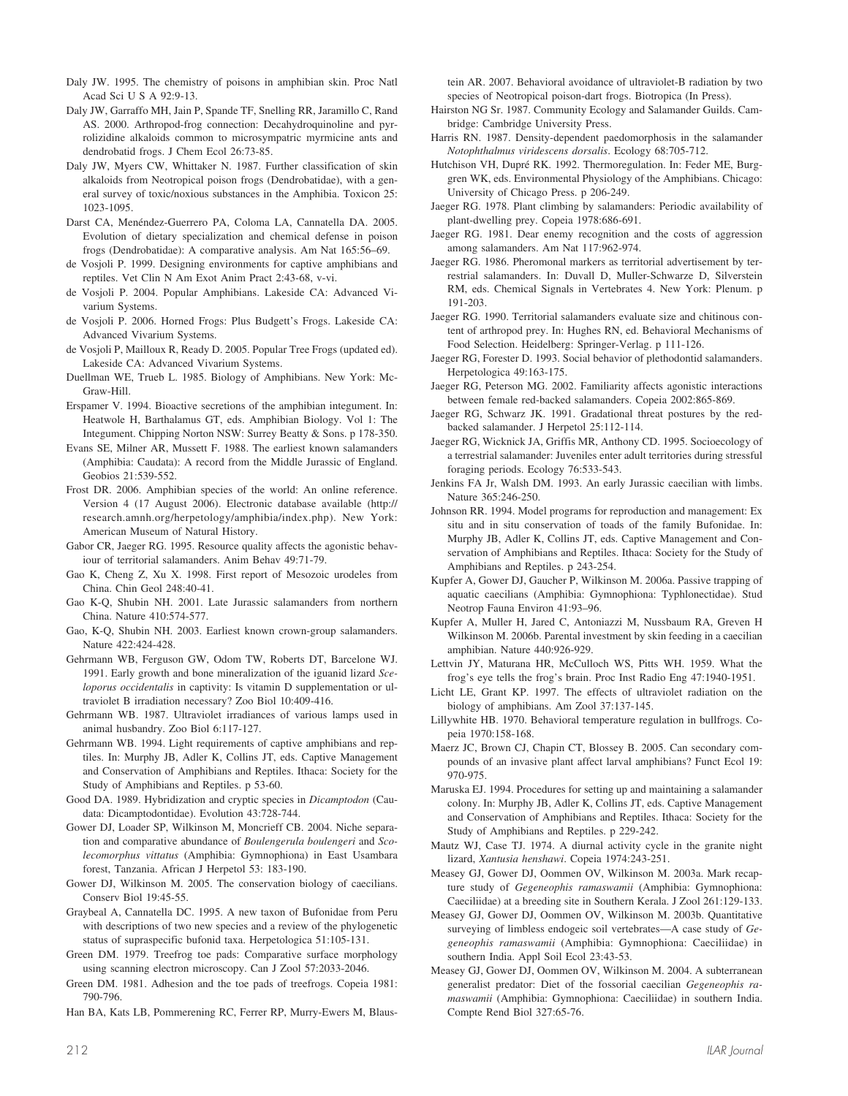- Daly JW. 1995. The chemistry of poisons in amphibian skin. Proc Natl Acad Sci U S A 92:9-13.
- Daly JW, Garraffo MH, Jain P, Spande TF, Snelling RR, Jaramillo C, Rand AS. 2000. Arthropod-frog connection: Decahydroquinoline and pyrrolizidine alkaloids common to microsympatric myrmicine ants and dendrobatid frogs. J Chem Ecol 26:73-85.
- Daly JW, Myers CW, Whittaker N. 1987. Further classification of skin alkaloids from Neotropical poison frogs (Dendrobatidae), with a general survey of toxic/noxious substances in the Amphibia. Toxicon 25: 1023-1095.
- Darst CA, Menéndez-Guerrero PA, Coloma LA, Cannatella DA. 2005. Evolution of dietary specialization and chemical defense in poison frogs (Dendrobatidae): A comparative analysis. Am Nat 165:56–69.
- de Vosjoli P. 1999. Designing environments for captive amphibians and reptiles. Vet Clin N Am Exot Anim Pract 2:43-68, v-vi.
- de Vosjoli P. 2004. Popular Amphibians. Lakeside CA: Advanced Vivarium Systems.
- de Vosjoli P. 2006. Horned Frogs: Plus Budgett's Frogs. Lakeside CA: Advanced Vivarium Systems.
- de Vosjoli P, Mailloux R, Ready D. 2005. Popular Tree Frogs (updated ed). Lakeside CA: Advanced Vivarium Systems.
- Duellman WE, Trueb L. 1985. Biology of Amphibians. New York: Mc-Graw-Hill.
- Erspamer V. 1994. Bioactive secretions of the amphibian integument. In: Heatwole H, Barthalamus GT, eds. Amphibian Biology. Vol 1: The Integument. Chipping Norton NSW: Surrey Beatty & Sons. p 178-350.
- Evans SE, Milner AR, Mussett F. 1988. The earliest known salamanders (Amphibia: Caudata): A record from the Middle Jurassic of England. Geobios 21:539-552.
- Frost DR. 2006. Amphibian species of the world: An online reference. Version 4 (17 August 2006). Electronic database available (http:// research.amnh.org/herpetology/amphibia/index.php). New York: American Museum of Natural History.
- Gabor CR, Jaeger RG. 1995. Resource quality affects the agonistic behaviour of territorial salamanders. Anim Behav 49:71-79.
- Gao K, Cheng Z, Xu X. 1998. First report of Mesozoic urodeles from China. Chin Geol 248:40-41.
- Gao K-Q, Shubin NH. 2001. Late Jurassic salamanders from northern China. Nature 410:574-577.
- Gao, K-Q, Shubin NH. 2003. Earliest known crown-group salamanders. Nature 422:424-428.
- Gehrmann WB, Ferguson GW, Odom TW, Roberts DT, Barcelone WJ. 1991. Early growth and bone mineralization of the iguanid lizard *Sceloporus occidentalis* in captivity: Is vitamin D supplementation or ultraviolet B irradiation necessary? Zoo Biol 10:409-416.
- Gehrmann WB. 1987. Ultraviolet irradiances of various lamps used in animal husbandry. Zoo Biol 6:117-127.
- Gehrmann WB. 1994. Light requirements of captive amphibians and reptiles. In: Murphy JB, Adler K, Collins JT, eds. Captive Management and Conservation of Amphibians and Reptiles. Ithaca: Society for the Study of Amphibians and Reptiles. p 53-60.
- Good DA. 1989. Hybridization and cryptic species in *Dicamptodon* (Caudata: Dicamptodontidae). Evolution 43:728-744.
- Gower DJ, Loader SP, Wilkinson M, Moncrieff CB. 2004. Niche separation and comparative abundance of *Boulengerula boulengeri* and *Scolecomorphus vittatus* (Amphibia: Gymnophiona) in East Usambara forest, Tanzania. African J Herpetol 53: 183-190.
- Gower DJ, Wilkinson M. 2005. The conservation biology of caecilians. Conserv Biol 19:45-55.
- Graybeal A, Cannatella DC. 1995. A new taxon of Bufonidae from Peru with descriptions of two new species and a review of the phylogenetic status of supraspecific bufonid taxa. Herpetologica 51:105-131.
- Green DM. 1979. Treefrog toe pads: Comparative surface morphology using scanning electron microscopy. Can J Zool 57:2033-2046.
- Green DM. 1981. Adhesion and the toe pads of treefrogs. Copeia 1981: 790-796.
- Han BA, Kats LB, Pommerening RC, Ferrer RP, Murry-Ewers M, Blaus-

tein AR. 2007. Behavioral avoidance of ultraviolet-B radiation by two species of Neotropical poison-dart frogs. Biotropica (In Press).

- Hairston NG Sr. 1987. Community Ecology and Salamander Guilds. Cambridge: Cambridge University Press.
- Harris RN. 1987. Density-dependent paedomorphosis in the salamander *Notophthalmus viridescens dorsalis*. Ecology 68:705-712.
- Hutchison VH, Dupré RK. 1992. Thermoregulation. In: Feder ME, Burggren WK, eds. Environmental Physiology of the Amphibians. Chicago: University of Chicago Press. p 206-249.
- Jaeger RG. 1978. Plant climbing by salamanders: Periodic availability of plant-dwelling prey. Copeia 1978:686-691.
- Jaeger RG. 1981. Dear enemy recognition and the costs of aggression among salamanders. Am Nat 117:962-974.
- Jaeger RG. 1986. Pheromonal markers as territorial advertisement by terrestrial salamanders. In: Duvall D, Muller-Schwarze D, Silverstein RM, eds. Chemical Signals in Vertebrates 4. New York: Plenum. p 191-203.
- Jaeger RG. 1990. Territorial salamanders evaluate size and chitinous content of arthropod prey. In: Hughes RN, ed. Behavioral Mechanisms of Food Selection. Heidelberg: Springer-Verlag. p 111-126.
- Jaeger RG, Forester D. 1993. Social behavior of plethodontid salamanders. Herpetologica 49:163-175.
- Jaeger RG, Peterson MG. 2002. Familiarity affects agonistic interactions between female red-backed salamanders. Copeia 2002:865-869.
- Jaeger RG, Schwarz JK. 1991. Gradational threat postures by the redbacked salamander. J Herpetol 25:112-114.
- Jaeger RG, Wicknick JA, Griffis MR, Anthony CD. 1995. Socioecology of a terrestrial salamander: Juveniles enter adult territories during stressful foraging periods. Ecology 76:533-543.
- Jenkins FA Jr, Walsh DM. 1993. An early Jurassic caecilian with limbs. Nature 365:246-250.
- Johnson RR. 1994. Model programs for reproduction and management: Ex situ and in situ conservation of toads of the family Bufonidae. In: Murphy JB, Adler K, Collins JT, eds. Captive Management and Conservation of Amphibians and Reptiles. Ithaca: Society for the Study of Amphibians and Reptiles. p 243-254.
- Kupfer A, Gower DJ, Gaucher P, Wilkinson M. 2006a. Passive trapping of aquatic caecilians (Amphibia: Gymnophiona: Typhlonectidae). Stud Neotrop Fauna Environ 41:93–96.
- Kupfer A, Muller H, Jared C, Antoniazzi M, Nussbaum RA, Greven H Wilkinson M. 2006b. Parental investment by skin feeding in a caecilian amphibian. Nature 440:926-929.
- Lettvin JY, Maturana HR, McCulloch WS, Pitts WH. 1959. What the frog's eye tells the frog's brain. Proc Inst Radio Eng 47:1940-1951.
- Licht LE, Grant KP. 1997. The effects of ultraviolet radiation on the biology of amphibians. Am Zool 37:137-145.
- Lillywhite HB. 1970. Behavioral temperature regulation in bullfrogs. Copeia 1970:158-168.
- Maerz JC, Brown CJ, Chapin CT, Blossey B. 2005. Can secondary compounds of an invasive plant affect larval amphibians? Funct Ecol 19: 970-975.
- Maruska EJ. 1994. Procedures for setting up and maintaining a salamander colony. In: Murphy JB, Adler K, Collins JT, eds. Captive Management and Conservation of Amphibians and Reptiles. Ithaca: Society for the Study of Amphibians and Reptiles. p 229-242.
- Mautz WJ, Case TJ. 1974. A diurnal activity cycle in the granite night lizard, *Xantusia henshawi*. Copeia 1974:243-251.
- Measey GJ, Gower DJ, Oommen OV, Wilkinson M. 2003a. Mark recapture study of *Gegeneophis ramaswamii* (Amphibia: Gymnophiona: Caeciliidae) at a breeding site in Southern Kerala. J Zool 261:129-133.
- Measey GJ, Gower DJ, Oommen OV, Wilkinson M. 2003b. Quantitative surveying of limbless endogeic soil vertebrates—A case study of *Gegeneophis ramaswamii* (Amphibia: Gymnophiona: Caeciliidae) in southern India. Appl Soil Ecol 23:43-53.
- Measey GJ, Gower DJ, Oommen OV, Wilkinson M. 2004. A subterranean generalist predator: Diet of the fossorial caecilian *Gegeneophis ramaswamii* (Amphibia: Gymnophiona: Caeciliidae) in southern India. Compte Rend Biol 327:65-76.